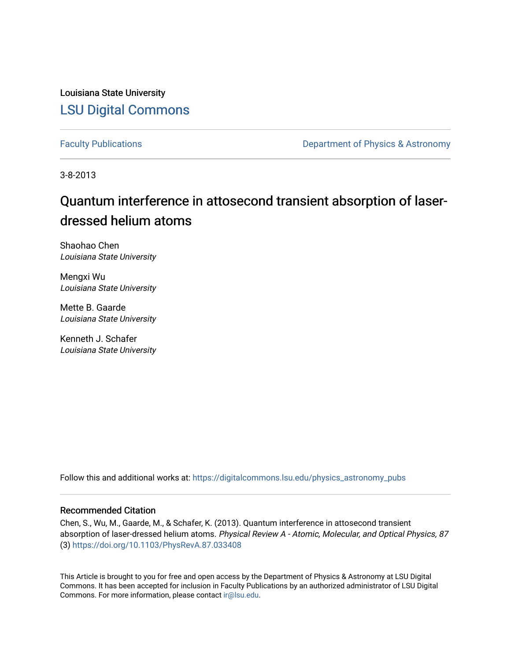Louisiana State University [LSU Digital Commons](https://digitalcommons.lsu.edu/)

[Faculty Publications](https://digitalcommons.lsu.edu/physics_astronomy_pubs) **Exercise 2 and Table 2 and Table 2 and Table 2 and Table 2 and Table 2 and Table 2 and Table 2 and Table 2 and Table 2 and Table 2 and Table 2 and Table 2 and Table 2 and Table 2 and Table 2 and Table** 

3-8-2013

## Quantum interference in attosecond transient absorption of laserdressed helium atoms

Shaohao Chen Louisiana State University

Mengxi Wu Louisiana State University

Mette B. Gaarde Louisiana State University

Kenneth J. Schafer Louisiana State University

Follow this and additional works at: [https://digitalcommons.lsu.edu/physics\\_astronomy\\_pubs](https://digitalcommons.lsu.edu/physics_astronomy_pubs?utm_source=digitalcommons.lsu.edu%2Fphysics_astronomy_pubs%2F2112&utm_medium=PDF&utm_campaign=PDFCoverPages) 

### Recommended Citation

Chen, S., Wu, M., Gaarde, M., & Schafer, K. (2013). Quantum interference in attosecond transient absorption of laser-dressed helium atoms. Physical Review A - Atomic, Molecular, and Optical Physics, 87 (3) <https://doi.org/10.1103/PhysRevA.87.033408>

This Article is brought to you for free and open access by the Department of Physics & Astronomy at LSU Digital Commons. It has been accepted for inclusion in Faculty Publications by an authorized administrator of LSU Digital Commons. For more information, please contact [ir@lsu.edu](mailto:ir@lsu.edu).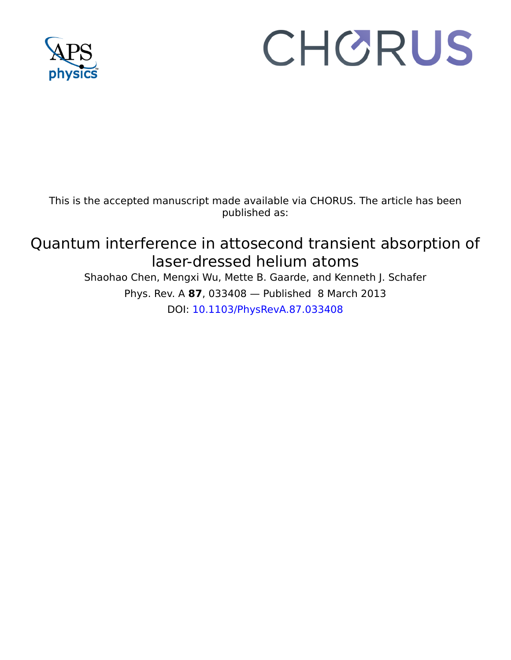

# CHORUS

This is the accepted manuscript made available via CHORUS. The article has been published as:

## Quantum interference in attosecond transient absorption of laser-dressed helium atoms

Shaohao Chen, Mengxi Wu, Mette B. Gaarde, and Kenneth J. Schafer Phys. Rev. A **87**, 033408 — Published 8 March 2013 DOI: [10.1103/PhysRevA.87.033408](http://dx.doi.org/10.1103/PhysRevA.87.033408)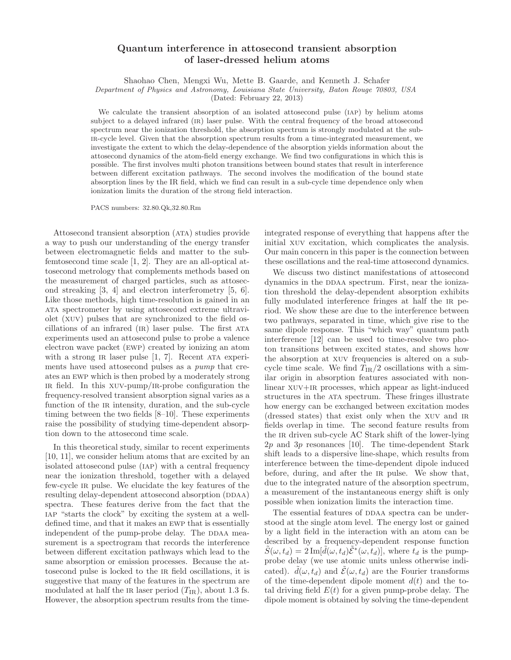### Quantum interference in attosecond transient absorption of laser-dressed helium atoms

Shaohao Chen, Mengxi Wu, Mette B. Gaarde, and Kenneth J. Schafer

Department of Physics and Astronomy, Louisiana State University, Baton Rouge 70803, USA

(Dated: February 22, 2013)

We calculate the transient absorption of an isolated attosecond pulse (iap) by helium atoms subject to a delayed infrared (ir) laser pulse. With the central frequency of the broad attosecond spectrum near the ionization threshold, the absorption spectrum is strongly modulated at the subir-cycle level. Given that the absorption spectrum results from a time-integrated measurement, we investigate the extent to which the delay-dependence of the absorption yields information about the attosecond dynamics of the atom-field energy exchange. We find two configurations in which this is possible. The first involves multi photon transitions between bound states that result in interference between different excitation pathways. The second involves the modification of the bound state absorption lines by the IR field, which we find can result in a sub-cycle time dependence only when ionization limits the duration of the strong field interaction.

PACS numbers: 32.80.Qk,32.80.Rm

numbers: 32.80.Qk,32.80.Rm<br>
sient absorption (ATA) studies provide integrated response cumbers: 32.80.Qk,32.80.Rm<br>
sient absorption (ATA) studies provide integrated response in the energy transformation<br>
signal and matter Attosecond transient absorption (ata) studies provide a way to push our understanding of the energy transfer between electromagnetic fields and matter to the subfemtosecond time scale [1, 2]. They are an all-optical attosecond metrology that complements methods based on the measurement of charged particles, such as attosecond streaking [3, 4] and electron interferometry [5, 6]. Like those methods, high time-resolution is gained in an ata spectrometer by using attosecond extreme ultraviolet (xuv) pulses that are synchronized to the field oscillations of an infrared (IR) laser pulse. The first ATA experiments used an attosecond pulse to probe a valence electron wave packet (ewp) created by ionizing an atom with a strong IR laser pulse  $[1, 7]$ . Recent ATA experiments have used attosecond pulses as a pump that creates an ewp which is then probed by a moderately strong ir field. In this xuv-pump/ir-probe configuration the frequency-resolved transient absorption signal varies as a function of the IR intensity, duration, and the sub-cycle timing between the two fields [8–10]. These experiments raise the possibility of studying time-dependent absorption down to the attosecond time scale.

In this theoretical study, similar to recent experiments [10, 11], we consider helium atoms that are excited by an isolated attosecond pulse (iap) with a central frequency near the ionization threshold, together with a delayed few-cycle ir pulse. We elucidate the key features of the resulting delay-dependent attosecond absorption (DDAA) spectra. These features derive from the fact that the iap "starts the clock" by exciting the system at a welldefined time, and that it makes an ewp that is essentially independent of the pump-probe delay. The DDAA measurement is a spectrogram that records the interference between different excitation pathways which lead to the same absorption or emission processes. Because the attosecond pulse is locked to the ir field oscillations, it is suggestive that many of the features in the spectrum are modulated at half the IR laser period  $(T_{IR})$ , about 1.3 fs. However, the absorption spectrum results from the time-

integrated response of everything that happens after the initial xuv excitation, which complicates the analysis. Our main concern in this paper is the connection between these oscillations and the real-time attosecond dynamics.

between different excitation pathomas. The second involves the modification of the bound state<br>absorption lines by the IR field, which we find can result in a sub-cylic line dependence only when<br>ionization limits the dura We discuss two distinct manifestations of attosecond dynamics in the DDAA spectrum. First, near the ionization threshold the delay-dependent absorption exhibits fully modulated interference fringes at half the IR period. We show these are due to the interference between two pathways, separated in time, which give rise to the same dipole response. This "which way" quantum path interference [12] can be used to time-resolve two photon transitions between excited states, and shows how the absorption at xuv frequencies is altered on a subcycle time scale. We find  $T_{IR}/2$  oscillations with a similar origin in absorption features associated with nonlinear  $XUV+IR$  processes, which appear as light-induced structures in the ata spectrum. These fringes illustrate how energy can be exchanged between excitation modes (dressed states) that exist only when the xuv and ir fields overlap in time. The second feature results from the IR driven sub-cycle AC Stark shift of the lower-lying  $2p$  and  $3p$  resonances [10]. The time-dependent Stark shift leads to a dispersive line-shape, which results from interference between the time-dependent dipole induced before, during, and after the ir pulse. We show that, due to the integrated nature of the absorption spectrum, a measurement of the instantaneous energy shift is only possible when ionization limits the interaction time.

The essential features of DDAA spectra can be understood at the single atom level. The energy lost or gained by a light field in the interaction with an atom can be described by a frequency-dependent response function  $\tilde{S}(\omega, t_d) = 2 \operatorname{Im}[\tilde{d}(\omega, t_d) \tilde{\mathcal{E}}^*(\omega, t_d)],$  where  $t_d$  is the pumpprobe delay (we use atomic units unless otherwise indicated).  $d(\omega, t_d)$  and  $\mathcal{E}(\omega, t_d)$  are the Fourier transforms of the time-dependent dipole moment  $d(t)$  and the total driving field  $E(t)$  for a given pump-probe delay. The dipole moment is obtained by solving the time-dependent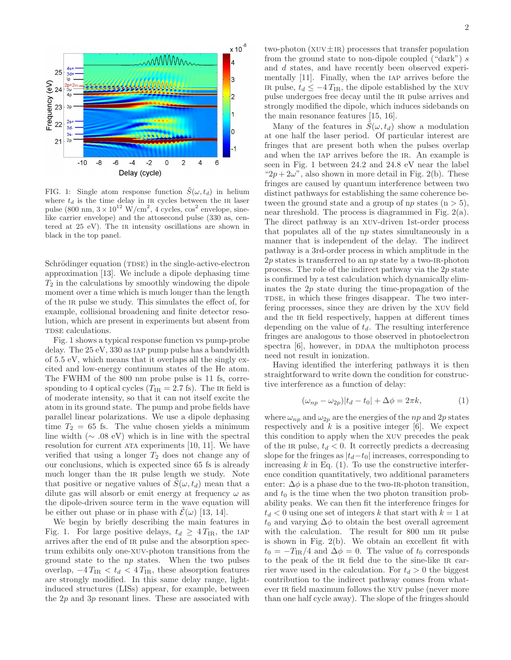

FIG. 1: Single atom response function  $\tilde{S}(\omega, t_d)$  in helium where  $t_d$  is the time delay in in cycles between the in laser pulse (800 nm,  $3 \times 10^{12}$  W/cm<sup>2</sup>, 4 cycles,  $\cos^2$  envelope, sinelike carrier envelope) and the attosecond pulse (330 as, centered at  $25$  eV). The  $IR$  intensity oscillations are shown in black in the top panel.

Schrödinger equation (TDSE) in the single-active-electron approximation [13]. We include a dipole dephasing time  $T_2$  in the calculations by smoothly windowing the dipole moment over a time which is much longer than the length of the ir pulse we study. This simulates the effect of, for example, collisional broadening and finite detector resolution, which are present in experiments but absent from TDSE calculations.

Fig. 1 shows a typical response function vs pump-probe delay. The 25 eV, 330 as iap pump pulse has a bandwidth of 5.5 eV, which means that it overlaps all the singly excited and low-energy continuum states of the He atom. The FWHM of the 800 nm probe pulse is 11 fs, corresponding to 4 optical cycles  $(T_{IR} = 2.7 \text{ fs})$ . The in field is of moderate intensity, so that it can not itself excite the atom in its ground state. The pump and probe fields have parallel linear polarizations. We use a dipole dephasing time  $T_2 = 65$  fs. The value chosen yields a minimum line width ( $\sim$  .08 eV) which is in line with the spectral resolution for current ata experiments [10, 11]. We have verified that using a longer  $T_2$  does not change any of our conclusions, which is expected since 65 fs is already much longer than the IR pulse length we study. Note that positive or negative values of  $S(\omega, t_d)$  mean that a dilute gas will absorb or emit energy at frequency  $\omega$  as the dipole-driven source term in the wave equation will be either out phase or in phase with  $\mathcal{E}(\omega)$  [13, 14].

We begin by briefly describing the main features in Fig. 1. For large positive delays,  $t_d \geq 4 T_{IR}$ , the IAP arrives after the end of ir pulse and the absorption spectrum exhibits only one-xuv-photon transitions from the ground state to the np states. When the two pulses overlap,  $-4 T_{IR} < t_d < 4 T_{IR}$ , these absorption features are strongly modified. In this same delay range, lightinduced structures (LISs) appear, for example, between the  $2p$  and  $3p$  resonant lines. These are associated with

two-photon  $(XUV \pm IR)$  processes that transfer population from the ground state to non-dipole coupled ("dark")  $s$ and d states, and have recently been observed experimentally [11]. Finally, when the iap arrives before the IR pulse,  $t_d \leq -4 T_{\text{IR}}$ , the dipole established by the XUV pulse undergoes free decay until the ir pulse arrives and strongly modified the dipole, which induces sidebands on the main resonance features [15, 16].

Many of the features in  $\ddot{S}(\omega, t_d)$  show a modulation at one half the laser period. Of particular interest are fringes that are present both when the pulses overlap and when the IAP arrives before the IR. An example is seen in Fig. 1 between 24.2 and 24.8 eV near the label " $2p + 2\omega$ ", also shown in more detail in Fig. 2(b). These fringes are caused by quantum interference between two distinct pathways for establishing the same coherence between the ground state and a group of np states  $(n > 5)$ , near threshold. The process is diagrammed in Fig. 2(a). The direct pathway is an xuv-driven 1st-order process that populates all of the np states simultaneously in a manner that is independent of the delay. The indirect pathway is a 3rd-order process in which amplitude in the  $2p$  states is transferred to an  $np$  state by a two-IR-photon process. The role of the indirect pathway via the 2p state is confirmed by a test calculation which dynamically eliminates the  $2p$  state during the time-propagation of the TDSE, in which these fringes disappear. The two interfering processes, since they are driven by the xuv field and the IR field respectively, happen at different times depending on the value of  $t_d$ . The resulting interference fringes are analogous to those observed in photoelectron spectra  $[6]$ , however, in DDAA the multiphoton process need not result in ionization.

Having identified the interfering pathways it is then straightforward to write down the condition for constructive interference as a function of delay:

$$
(\omega_{np} - \omega_{2p})|t_d - t_0| + \Delta \phi = 2\pi k, \qquad (1)
$$

where  $\omega_{np}$  and  $\omega_{2p}$  are the energies of the np and 2p states respectively and  $k$  is a positive integer [6]. We expect this condition to apply when the xuv precedes the peak of the IR pulse,  $t_d < 0$ . It correctly predicts a decreasing slope for the fringes as  $|t_d-t_0|$  increases, corresponding to increasing  $k$  in Eq. (1). To use the constructive interference condition quantitatively, two additional parameters enter:  $\Delta \phi$  is a phase due to the two-IR-photon transition, and  $t_0$  is the time when the two photon transition probability peaks. We can then fit the interference fringes for  $t_d$  < 0 using one set of integers k that start with  $k = 1$  at  $t_0$  and varying  $\Delta \phi$  to obtain the best overall agreement with the calculation. The result for 800 nm IR pulse is shown in Fig. 2(b). We obtain an excellent fit with  $t_0 = -T_{IR}/4$  and  $\Delta \phi = 0$ . The value of  $t_0$  corresponds to the peak of the IR field due to the sine-like IR carrier wave used in the calculation. For  $t_d > 0$  the biggest contribution to the indirect pathway comes from whatever IR field maximum follows the XUV pulse (never more than one half cycle away). The slope of the fringes should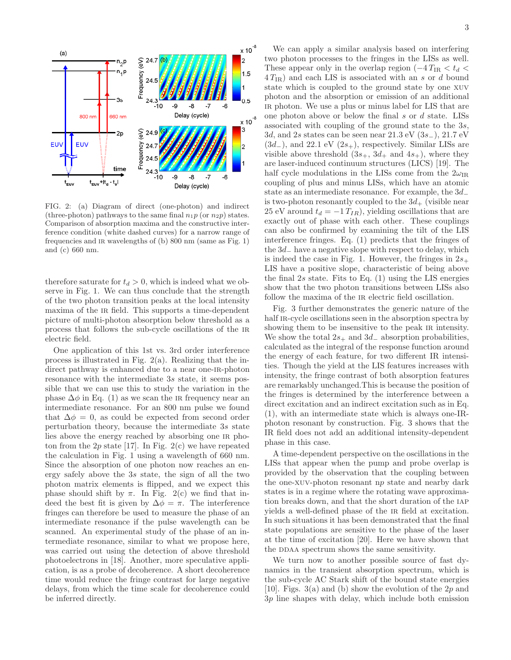

FIG. 2: (a) Diagram of direct (one-photon) and indirect (three-photon) pathways to the same final  $n_1p$  (or  $n_2p$ ) states. Comparison of absorption maxima and the constructive interference condition (white dashed curves) for a narrow range of frequencies and ir wavelengths of (b) 800 nm (same as Fig. 1) and (c) 660 nm.

therefore saturate for  $t_d > 0$ , which is indeed what we observe in Fig. 1. We can thus conclude that the strength of the two photon transition peaks at the local intensity maxima of the IR field. This supports a time-dependent picture of multi-photon absorption below threshold as a process that follows the sub-cycle oscillations of the ir electric field.

One application of this 1st vs. 3rd order interference process is illustrated in Fig. 2(a). Realizing that the indirect pathway is enhanced due to a near one-IR-photon resonance with the intermediate 3s state, it seems possible that we can use this to study the variation in the phase  $\Delta\phi$  in Eq. (1) as we scan the IR frequency near an intermediate resonance. For an 800 nm pulse we found that  $\Delta \phi = 0$ , as could be expected from second order perturbation theory, because the intermediate 3s state lies above the energy reached by absorbing one ir photon from the 2p state [17]. In Fig. 2(c) we have repeated the calculation in Fig. 1 using a wavelength of 660 nm. Since the absorption of one photon now reaches an energy safely above the 3s state, the sign of all the two photon matrix elements is flipped, and we expect this phase should shift by  $\pi$ . In Fig. 2(c) we find that indeed the best fit is given by  $\Delta \phi = \pi$ . The interference fringes can therefore be used to measure the phase of an intermediate resonance if the pulse wavelength can be scanned. An experimental study of the phase of an intermediate resonance, similar to what we propose here, was carried out using the detection of above threshold photoelectrons in [18]. Another, more speculative application, is as a probe of decoherence. A short decoherence time would reduce the fringe contrast for large negative delays, from which the time scale for decoherence could be inferred directly.

We can apply a similar analysis based on interfering two photon processes to the fringes in the LISs as well. These appear only in the overlap region  $(-4 T_{IR} < t_d <$  $4 T_{IR}$ ) and each LIS is associated with an s or d bound state which is coupled to the ground state by one xuv photon and the absorption or emission of an additional ir photon. We use a plus or minus label for LIS that are one photon above or below the final  $s$  or  $d$  state. LISs associated with coupling of the ground state to the 3s, 3d, and 2s states can be seen near 21.3 eV (3s−), 21.7 eV  $(3d_-)$ , and 22.1 eV  $(2s_+)$ , respectively. Similar LISs are visible above threshold  $(3s_+, 3d_+ \text{ and } 4s_+),$  where they are laser-induced continuum structures (LICS) [19]. The half cycle modulations in the LISs come from the  $2\omega_{IR}$ coupling of plus and minus LISs, which have an atomic state as an intermediate resonance. For example, the 3d− is two-photon resonantly coupled to the  $3d_{+}$  (visible near 25 eV around  $t_d = -1 T_{IR}$ , yielding oscillations that are exactly out of phase with each other. These couplings can also be confirmed by examining the tilt of the LIS interference fringes. Eq. (1) predicts that the fringes of the 3d<sup>−</sup> have a negative slope with respect to delay, which is indeed the case in Fig. 1. However, the fringes in  $2s_{+}$ LIS have a positive slope, characteristic of being above the final  $2s$  state. Fits to Eq.  $(1)$  using the LIS energies show that the two photon transitions between LISs also follow the maxima of the IR electric field oscillation.

Fig. 3 further demonstrates the generic nature of the half IR-cycle oscillations seen in the absorption spectra by showing them to be insensitive to the peak IR intensity. We show the total  $2s_+$  and  $3d_-$  absorption probabilities, calculated as the integral of the response function around the energy of each feature, for two different IR intensities. Though the yield at the LIS features increases with intensity, the fringe contrast of both absorption features are remarkably unchanged.This is because the position of the fringes is determined by the interference between a direct excitation and an indirect excitation such as in Eq. (1), with an intermediate state which is always one-IRphoton resonant by construction. Fig. 3 shows that the IR field does not add an additional intensity-dependent phase in this case.

A time-dependent perspective on the oscillations in the LISs that appear when the pump and probe overlap is provided by the observation that the coupling between the one-xuv-photon resonant np state and nearby dark states is in a regime where the rotating wave approximation breaks down, and that the short duration of the iap yields a well-defined phase of the ir field at excitation. In such situations it has been demonstrated that the final state populations are sensitive to the phase of the laser at the time of excitation [20]. Here we have shown that the DDAA spectrum shows the same sensitivity.

We turn now to another possible source of fast dynamics in the transient absorption spectrum, which is the sub-cycle AC Stark shift of the bound state energies [10]. Figs. 3(a) and (b) show the evolution of the  $2p$  and 3p line shapes with delay, which include both emission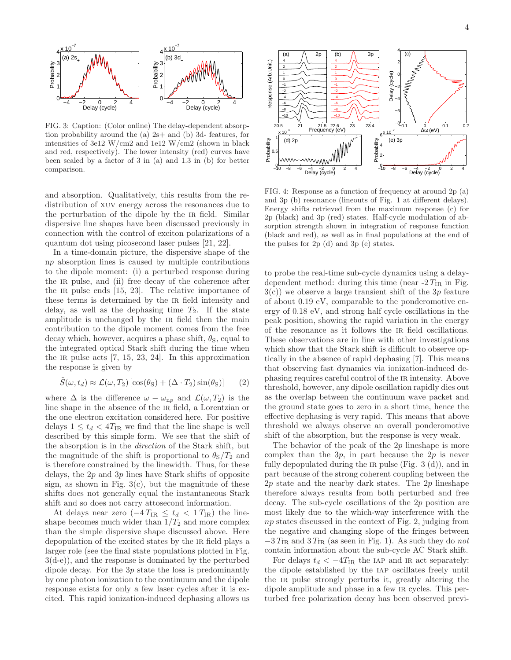

FIG. 3: Caption: (Color online) The delay-dependent absorption probability around the (a) 2s+ and (b) 3d- features, for intensities of 3e12 W/cm2 and 1e12 W/cm2 (shown in black and red, respectively). The lower intensity (red) curves have been scaled by a factor of 3 in (a) and 1.3 in (b) for better comparison.

and absorption. Qualitatively, this results from the redistribution of xuv energy across the resonances due to the perturbation of the dipole by the ir field. Similar dispersive line shapes have been discussed previously in connection with the control of exciton polarizations of a quantum dot using picosecond laser pulses [21, 22].

In a time-domain picture, the dispersive shape of the np absorption lines is caused by multiple contributions to the dipole moment: (i) a perturbed response during the IR pulse, and (ii) free decay of the coherence after the IR pulse ends  $[15, 23]$ . The relative importance of these terms is determined by the ir field intensity and delay, as well as the dephasing time  $T_2$ . If the state amplitude is unchanged by the ir field then the main contribution to the dipole moment comes from the free decay which, however, acquires a phase shift,  $\theta_{\rm S}$ , equal to the integrated optical Stark shift during the time when the IR pulse acts  $[7, 15, 23, 24]$ . In this approximation the response is given by

$$
\tilde{S}(\omega, t_d) \approx \mathcal{L}(\omega, T_2) \left[ \cos(\theta_{\rm S}) + (\Delta \cdot T_2) \sin(\theta_{\rm S}) \right] \tag{2}
$$

where  $\Delta$  is the difference  $\omega - \omega_{np}$  and  $\mathcal{L}(\omega, T_2)$  is the line shape in the absence of the IR field, a Lorentzian or the one electron excitation considered here. For positive delays  $1 \le t_d < 4T_{IR}$  we find that the line shape is well described by this simple form. We see that the shift of the absorption is in the direction of the Stark shift, but the magnitude of the shift is proportional to  $\theta_{\rm S}/T_2$  and is therefore constrained by the linewidth. Thus, for these delays, the  $2p$  and  $3p$  lines have Stark shifts of opposite sign, as shown in Fig.  $3(c)$ , but the magnitude of these shifts does not generally equal the instantaneous Stark shift and so does not carry attosecond information.

At delays near zero  $(-4 T_{IR} \leq t_d < 1 T_{IR})$  the lineshape becomes much wider than  $1/T_2$  and more complex than the simple dispersive shape discussed above. Here depopulation of the excited states by the IR field plays a larger role (see the final state populations plotted in Fig. 3(d-e)), and the response is dominated by the perturbed dipole decay. For the 3p state the loss is predominantly by one photon ionization to the continuum and the dipole response exists for only a few laser cycles after it is excited. This rapid ionization-induced dephasing allows us



FIG. 4: Response as a function of frequency at around 2p (a) and 3p (b) resonance (lineouts of Fig. 1 at different delays). Energy shifts retrieved from the maximum response (c) for 2p (black) and 3p (red) states. Half-cycle modulation of absorption strength shown in integration of response function (black and red), as well as in final populations at the end of the pulses for 2p (d) and 3p (e) states.

to probe the real-time sub-cycle dynamics using a delaydependent method: during this time (near  $-2 T_{\text{IR}}$  in Fig.  $3(c)$ ) we observe a large transient shift of the 3p feature of about 0.19 eV, comparable to the ponderomotive energy of 0.18 eV, and strong half cycle oscillations in the peak position, showing the rapid variation in the energy of the resonance as it follows the ir field oscillations. These observations are in line with other investigations which show that the Stark shift is difficult to observe optically in the absence of rapid dephasing [7]. This means that observing fast dynamics via ionization-induced dephasing requires careful control of the ir intensity. Above threshold, however, any dipole oscillation rapidly dies out as the overlap between the continuum wave packet and the ground state goes to zero in a short time, hence the effective dephasing is very rapid. This means that above threshold we always observe an overall ponderomotive shift of the absorption, but the response is very weak.

The behavior of the peak of the  $2p$  lineshape is more complex than the  $3p$ , in part because the  $2p$  is never fully depopulated during the IR pulse (Fig.  $3(d)$ ), and in part because of the strong coherent coupling between the 2p state and the nearby dark states. The 2p lineshape therefore always results from both perturbed and free decay. The sub-cycle oscillations of the 2p position are most likely due to the which-way interference with the np states discussed in the context of Fig. 2, judging from the negative and changing slope of the fringes between  $-3 T_{IR}$  and  $3 T_{IR}$  (as seen in Fig. 1). As such they do not contain information about the sub-cycle AC Stark shift.

For delays  $t_d < -4T_{IR}$  the IAP and IR act separately: the dipole established by the iap oscillates freely until the IR pulse strongly perturbs it, greatly altering the dipole amplitude and phase in a few IR cycles. This perturbed free polarization decay has been observed previ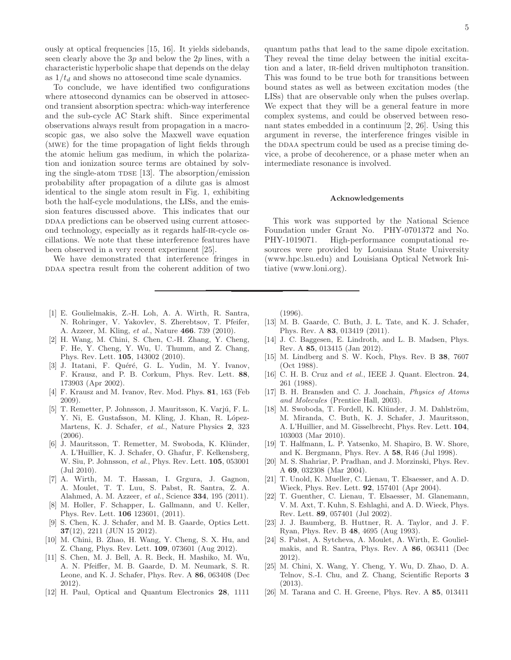ously at optical frequencies [15, 16]. It yields sidebands, seen clearly above the  $3p$  and below the  $2p$  lines, with a characteristic hyperbolic shape that depends on the delay as  $1/t_d$  and shows no attosecond time scale dynamics.

To conclude, we have identified two configurations where attosecond dynamics can be observed in attosecond transient absorption spectra: which-way interference and the sub-cycle AC Stark shift. Since experimental observations always result from propagation in a macroscopic gas, we also solve the Maxwell wave equation (mwe) for the time propagation of light fields through the atomic helium gas medium, in which the polarization and ionization source terms are obtained by solving the single-atom  $T$ DSE [13]. The absorption/emission probability after propagation of a dilute gas is almost identical to the single atom result in Fig. 1, exhibiting both the half-cycle modulations, the LISs, and the emission features discussed above. This indicates that our do DDAA predictions can be observed using current attosecond technology, especially as it regards half-ir-cycle oscillations. We note that these interference features have been observed in a very recent experiment [25].

We have demonstrated that interference fringes in DDAA spectra result from the coherent addition of two quantum paths that lead to the same dipole excitation. They reveal the time delay between the initial excitation and a later, ir-field driven multiphoton transition. This was found to be true both for transitions between bound states as well as between excitation modes (the LISs) that are observable only when the pulses overlap. We expect that they will be a general feature in more complex systems, and could be observed between resonant states embedded in a continuum [2, 26]. Using this argument in reverse, the interference fringes visible in the DDAA spectrum could be used as a precise timing device, a probe of decoherence, or a phase meter when an intermediate resonance is involved.

#### Acknowledgements

This work was supported by the National Science Foundation under Grant No. PHY-0701372 and No. PHY-1019071. High-performance computational resources were provided by Louisiana State University (www.hpc.lsu.edu) and Louisiana Optical Network Initiative (www.loni.org).

- [1] E. Goulielmakis, Z.-H. Loh, A. A. Wirth, R. Santra, N. Rohringer, V. Yakovlev, S. Zherebtsov, T. Pfeifer, A. Azzeer, M. Kling, et al., Nature 466. 739 (2010).
- [2] H. Wang, M. Chini, S. Chen, C.-H. Zhang, Y. Cheng, F. He, Y. Cheng, Y. Wu, U. Thumm, and Z. Chang, Phys. Rev. Lett. 105, 143002 (2010).
- [3] J. Itatani, F. Quéré, G. L. Yudin, M. Y. Ivanov, F. Krausz, and P. B. Corkum, Phys. Rev. Lett. 88, 173903 (Apr 2002).
- [4] F. Krausz and M. Ivanov, Rev. Mod. Phys. 81, 163 (Feb 2009).
- [5] T. Remetter, P. Johnsson, J. Mauritsson, K. Varjú, F. L. Y. Ni, E. Gustafsson, M. Kling, J. Khan, R. López-Martens, K. J. Schafer, et al., Nature Physics 2, 323 (2006).
- [6] J. Mauritsson, T. Remetter, M. Swoboda, K. Klünder, A. L'Huillier, K. J. Schafer, O. Ghafur, F. Kelkensberg, W. Siu, P. Johnsson, et al., Phys. Rev. Lett. 105, 053001 (Jul 2010).
- [7] A. Wirth, M. T. Hassan, I. Grgura, J. Gagnon, A. Moulet, T. T. Luu, S. Pabst, R. Santra, Z. A. Alahmed, A. M. Azzeer, et al., Science 334, 195 (2011).
- [8] M. Holler, F. Schapper, L. Gallmann, and U. Keller, Phys. Rev. Lett. 106 123601, (2011).
- [9] S. Chen, K. J. Schafer, and M. B. Gaarde, Optics Lett. 37(12), 2211 (JUN 15 2012).
- [10] M. Chini, B. Zhao, H. Wang, Y. Cheng, S. X. Hu, and Z. Chang, Phys. Rev. Lett. 109, 073601 (Aug 2012).
- [11] S. Chen, M. J. Bell, A. R. Beck, H. Mashiko, M. Wu, A. N. Pfeiffer, M. B. Gaarde, D. M. Neumark, S. R. Leone, and K. J. Schafer, Phys. Rev. A 86, 063408 (Dec 2012).
- [12] H. Paul, Optical and Quantum Electronics 28, 1111

(1996).

- [13] M. B. Gaarde, C. Buth, J. L. Tate, and K. J. Schafer, Phys. Rev. A 83, 013419 (2011).
- [14] J. C. Baggesen, E. Lindroth, and L. B. Madsen, Phys. Rev. A 85, 013415 (Jan 2012).
- [15] M. Lindberg and S. W. Koch, Phys. Rev. B 38, 7607 (Oct 1988).
- [16] C. H. B. Cruz and et al., IEEE J. Quant. Electron. 24, 261 (1988).
- [17] B. H. Bransden and C. J. Joachain, Physics of Atoms and Molecules (Prentice Hall, 2003).
- [18] M. Swoboda, T. Fordell, K. Klünder, J. M. Dahlström, M. Miranda, C. Buth, K. J. Schafer, J. Mauritsson, A. L'Huillier, and M. Gisselbrecht, Phys. Rev. Lett. 104, 103003 (Mar 2010).
- [19] T. Halfmann, L. P. Yatsenko, M. Shapiro, B. W. Shore, and K. Bergmann, Phys. Rev. A 58, R46 (Jul 1998).
- [20] M. S. Shahriar, P. Pradhan, and J. Morzinski, Phys. Rev. A 69, 032308 (Mar 2004).
- [21] T. Unold, K. Mueller, C. Lienau, T. Elsaesser, and A. D. Wieck, Phys. Rev. Lett. 92, 157401 (Apr 2004).
- [22] T. Guenther, C. Lienau, T. Elsaesser, M. Glanemann, V. M. Axt, T. Kuhn, S. Eshlaghi, and A. D. Wieck, Phys. Rev. Lett. 89, 057401 (Jul 2002).
- [23] J. J. Baumberg, B. Huttner, R. A. Taylor, and J. F. Ryan, Phys. Rev. B 48, 4695 (Aug 1993).
- [24] S. Pabst, A. Sytcheva, A. Moulet, A. Wirth, E. Goulielmakis, and R. Santra, Phys. Rev. A 86, 063411 (Dec 2012).
- [25] M. Chini, X. Wang, Y. Cheng, Y. Wu, D. Zhao, D. A. Telnov, S.-I. Chu, and Z. Chang, Scientific Reports 3 (2013).
- [26] M. Tarana and C. H. Greene, Phys. Rev. A 85, 013411